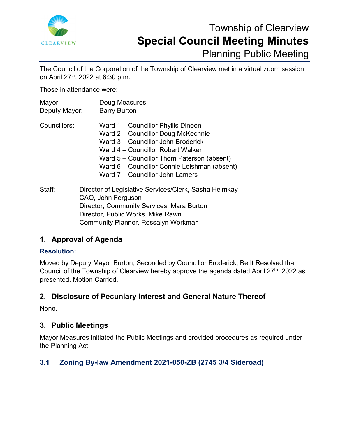

# Township of Clearview **Special Council Meeting Minutes** Planning Public Meeting

The Council of the Corporation of the Township of Clearview met in a virtual zoom session on April 27th, 2022 at 6:30 p.m.

Those in attendance were:

| Mayor:<br>Deputy Mayor: | Doug Measures<br><b>Barry Burton</b>                                                                                                                                                                                                                                                 |
|-------------------------|--------------------------------------------------------------------------------------------------------------------------------------------------------------------------------------------------------------------------------------------------------------------------------------|
| Councillors:            | Ward 1 – Councillor Phyllis Dineen<br>Ward 2 – Councillor Doug McKechnie<br>Ward 3 – Councillor John Broderick<br>Ward 4 – Councillor Robert Walker<br>Ward 5 – Councillor Thom Paterson (absent)<br>Ward 6 – Councillor Connie Leishman (absent)<br>Ward 7 – Councillor John Lamers |
| Staff:                  | Director of Legislative Services/Clerk, Sasha Helmkay<br>CAO John Ferguson                                                                                                                                                                                                           |

CAO, John Ferguson Director, Community Services, Mara Burton Director, Public Works, Mike Rawn Community Planner, Rossalyn Workman

# **1. Approval of Agenda**

### **Resolution:**

Moved by Deputy Mayor Burton, Seconded by Councillor Broderick, Be It Resolved that Council of the Township of Clearview hereby approve the agenda dated April  $27<sup>th</sup>$ , 2022 as presented. Motion Carried.

# **2. Disclosure of Pecuniary Interest and General Nature Thereof**

None.

# **3. Public Meetings**

Mayor Measures initiated the Public Meetings and provided procedures as required under the Planning Act.

# **3.1 Zoning By-law Amendment 2021-050-ZB (2745 3/4 Sideroad)**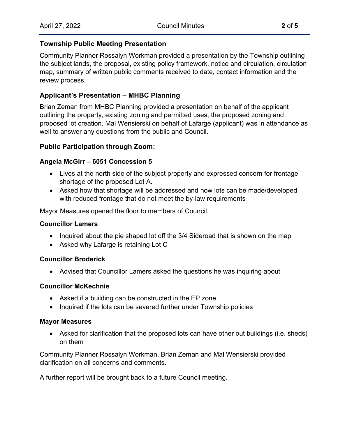#### **Township Public Meeting Presentation**

Community Planner Rossalyn Workman provided a presentation by the Township outlining the subject lands, the proposal, existing policy framework, notice and circulation, circulation map, summary of written public comments received to date, contact information and the review process.

### **Applicant's Presentation – MHBC Planning**

Brian Zeman from MHBC Planning provided a presentation on behalf of the applicant outlining the property, existing zoning and permitted uses, the proposed zoning and proposed lot creation. Mal Wensierski on behalf of Lafarge (applicant) was in attendance as well to answer any questions from the public and Council.

### **Public Participation through Zoom:**

#### **Angela McGirr – 6051 Concession 5**

- Lives at the north side of the subject property and expressed concern for frontage shortage of the proposed Lot A.
- Asked how that shortage will be addressed and how lots can be made/developed with reduced frontage that do not meet the by-law requirements

Mayor Measures opened the floor to members of Council.

#### **Councillor Lamers**

- Inquired about the pie shaped lot off the 3/4 Sideroad that is shown on the map
- Asked why Lafarge is retaining Lot C

#### **Councillor Broderick**

• Advised that Councillor Lamers asked the questions he was inquiring about

#### **Councillor McKechnie**

- Asked if a building can be constructed in the EP zone
- Inquired if the lots can be severed further under Township policies

#### **Mayor Measures**

• Asked for clarification that the proposed lots can have other out buildings (i.e. sheds) on them

Community Planner Rossalyn Workman, Brian Zeman and Mal Wensierski provided clarification on all concerns and comments.

A further report will be brought back to a future Council meeting.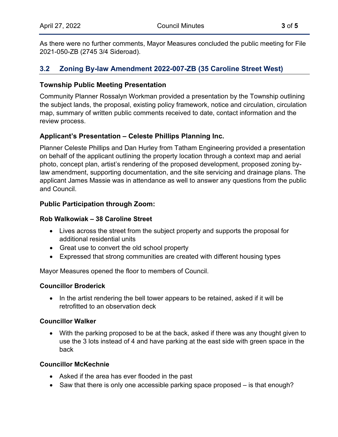As there were no further comments, Mayor Measures concluded the public meeting for File 2021-050-ZB (2745 3/4 Sideroad).

## **3.2 Zoning By-law Amendment 2022-007-ZB (35 Caroline Street West)**

#### **Township Public Meeting Presentation**

Community Planner Rossalyn Workman provided a presentation by the Township outlining the subject lands, the proposal, existing policy framework, notice and circulation, circulation map, summary of written public comments received to date, contact information and the review process.

#### **Applicant's Presentation – Celeste Phillips Planning Inc.**

Planner Celeste Phillips and Dan Hurley from Tatham Engineering provided a presentation on behalf of the applicant outlining the property location through a context map and aerial photo, concept plan, artist's rendering of the proposed development, proposed zoning bylaw amendment, supporting documentation, and the site servicing and drainage plans. The applicant James Massie was in attendance as well to answer any questions from the public and Council.

### **Public Participation through Zoom:**

#### **Rob Walkowiak – 38 Caroline Street**

- Lives across the street from the subject property and supports the proposal for additional residential units
- Great use to convert the old school property
- Expressed that strong communities are created with different housing types

Mayor Measures opened the floor to members of Council.

#### **Councillor Broderick**

• In the artist rendering the bell tower appears to be retained, asked if it will be retrofitted to an observation deck

#### **Councillor Walker**

• With the parking proposed to be at the back, asked if there was any thought given to use the 3 lots instead of 4 and have parking at the east side with green space in the back

#### **Councillor McKechnie**

- Asked if the area has ever flooded in the past
- Saw that there is only one accessible parking space proposed is that enough?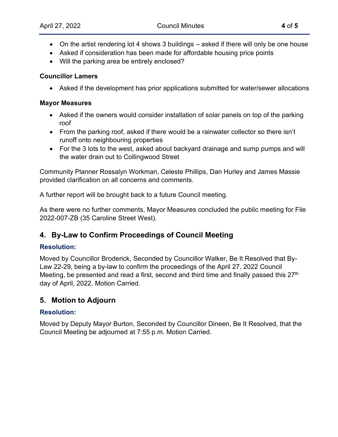- On the artist rendering lot 4 shows 3 buildings asked if there will only be one house
- Asked if consideration has been made for affordable housing price points
- Will the parking area be entirely enclosed?

#### **Councillor Lamers**

• Asked if the development has prior applications submitted for water/sewer allocations

#### **Mayor Measures**

- Asked if the owners would consider installation of solar panels on top of the parking roof
- From the parking roof, asked if there would be a rainwater collector so there isn't runoff onto neighbouring properties
- For the 3 lots to the west, asked about backyard drainage and sump pumps and will the water drain out to Collingwood Street

Community Planner Rossalyn Workman, Celeste Phillips, Dan Hurley and James Massie provided clarification on all concerns and comments.

A further report will be brought back to a future Council meeting.

As there were no further comments, Mayor Measures concluded the public meeting for File 2022-007-ZB (35 Caroline Street West).

# **4. By-Law to Confirm Proceedings of Council Meeting**

### **Resolution:**

Moved by Councillor Broderick, Seconded by Councillor Walker, Be It Resolved that By-Law 22-29, being a by-law to confirm the proceedings of the April 27, 2022 Council Meeting, be presented and read a first, second and third time and finally passed this 27<sup>th</sup> day of April, 2022. Motion Carried.

# **5. Motion to Adjourn**

### **Resolution:**

Moved by Deputy Mayor Burton, Seconded by Councillor Dineen, Be It Resolved, that the Council Meeting be adjourned at 7:55 p.m. Motion Carried.